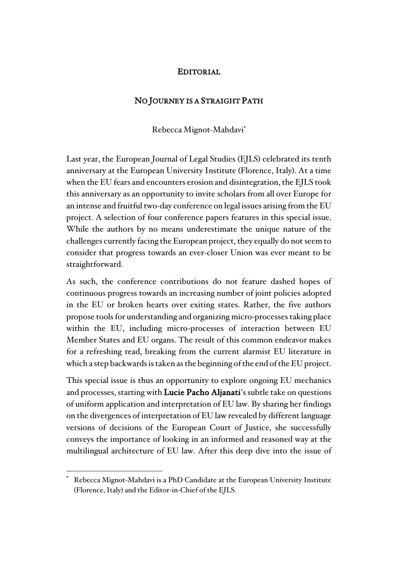## EDITORIAL

## NO JOURNEY IS A STRAIGHT PATH

Rebecca Mignot-Mahdavi\*

Last year, the European Journal of Legal Studies (EJLS) celebrated its tenth anniversary at the European University Institute (Florence, Italy). At a time when the EU fears and encounters erosion and disintegration, the EJLS took this anniversary as an opportunity to invite scholars from all over Europe for an intense and fruitful two-day conference on legal issues arising from the EU project. A selection of four conference papers features in this special issue. While the authors by no means underestimate the unique nature of the challenges currently facing the European project, they equally do not seem to consider that progress towards an ever-closer Union was ever meant to be straightforward.

As such, the conference contributions do not feature dashed hopes of continuous progress towards an increasing number of joint policies adopted in the EU or broken hearts over exiting states. Rather, the five authors propose tools for understanding and organizing micro-processes taking place within the EU, including micro-processes of interaction between EU Member States and EU organs. The result of this common endeavor makes for a refreshing read, breaking from the current alarmist EU literature in which a step backwards is taken as the beginning of the end of the EU project.

This special issue is thus an opportunity to explore ongoing EU mechanics and processes, starting with Lucie Pacho Aljanati's subtle take on questions of uniform application and interpretation of EU law. By sharing her findings on the divergences of interpretation of EU law revealed by different language versions of decisions of the European Court of Justice, she successfully conveys the importance of looking in an informed and reasoned way at the multilingual architecture of EU law. After this deep dive into the issue of

 $\overline{a}$ 

Rebecca Mignot-Mahdavi is a PhD Candidate at the European University Institute (Florence, Italy) and the Editor-in-Chief of the EJLS.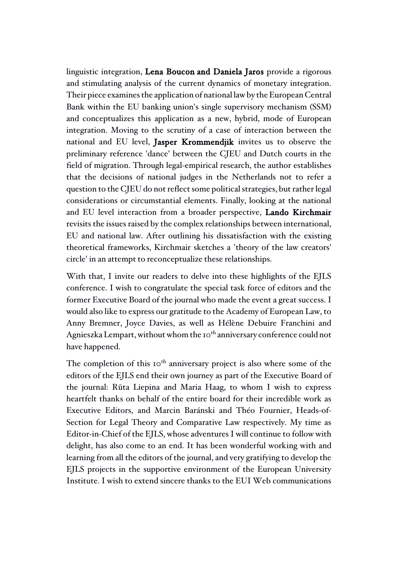linguistic integration, Lena Boucon and Daniela Jaros provide a rigorous and stimulating analysis of the current dynamics of monetary integration. Their piece examines the application of national law by the European Central Bank within the EU banking union's single supervisory mechanism (SSM) and conceptualizes this application as a new, hybrid, mode of European integration. Moving to the scrutiny of a case of interaction between the national and EU level, Jasper Krommendjik invites us to observe the preliminary reference 'dance' between the CJEU and Dutch courts in the field of migration. Through legal-empirical research, the author establishes that the decisions of national judges in the Netherlands not to refer a question to the CJEU do not reflect some political strategies, but rather legal considerations or circumstantial elements. Finally, looking at the national and EU level interaction from a broader perspective, Lando Kirchmair revisits the issues raised by the complex relationships between international, EU and national law. After outlining his dissatisfaction with the existing theoretical frameworks, Kirchmair sketches a 'theory of the law creators' circle' in an attempt to reconceptualize these relationships.

With that, I invite our readers to delve into these highlights of the EJLS conference. I wish to congratulate the special task force of editors and the former Executive Board of the journal who made the event a great success. I would also like to express our gratitude to the Academy of European Law, to Anny Bremner, Joyce Davies, as well as Hélène Debuire Franchini and Agnieszka Lempart, without whom the 10<sup>th</sup> anniversary conference could not have happened.

The completion of this  $10<sup>th</sup>$  anniversary project is also where some of the editors of the EJLS end their own journey as part of the Executive Board of the journal: Rūta Liepina and Maria Haag, to whom I wish to express heartfelt thanks on behalf of the entire board for their incredible work as Executive Editors, and Marcin Baránski and Théo Fournier, Heads-of-Section for Legal Theory and Comparative Law respectively. My time as Editor-in-Chief of the EJLS, whose adventures I will continue to follow with delight, has also come to an end. It has been wonderful working with and learning from all the editors of the journal, and very gratifying to develop the EJLS projects in the supportive environment of the European University Institute. I wish to extend sincere thanks to the EUI Web communications